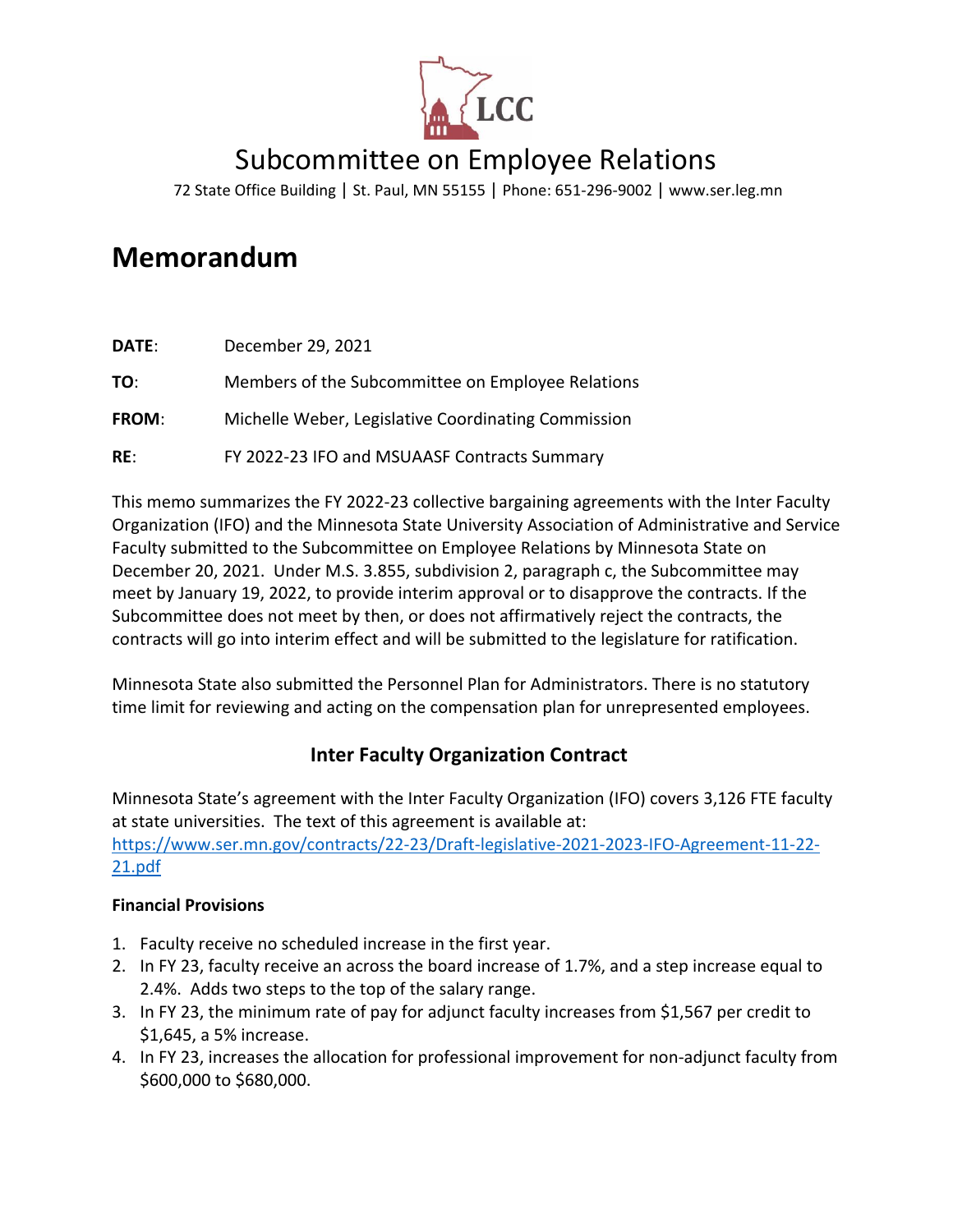

# Subcommittee on Employee Relations

72 State Office Building | St. Paul, MN 55155 | Phone: 651-296-9002 | [www.ser.leg.mn](http://www.ser.leg.mn/)

# **Memorandum**

| DATE:        | December 29, 2021                                   |
|--------------|-----------------------------------------------------|
| TO:          | Members of the Subcommittee on Employee Relations   |
| <b>FROM:</b> | Michelle Weber, Legislative Coordinating Commission |
| RE:          | FY 2022-23 IFO and MSUAASF Contracts Summary        |

This memo summarizes the FY 2022-23 collective bargaining agreements with the Inter Faculty Organization (IFO) and the Minnesota State University Association of Administrative and Service Faculty submitted to the Subcommittee on Employee Relations by Minnesota State on December 20, 2021. Under M.S. 3.855, subdivision 2, paragraph c, the Subcommittee may meet by January 19, 2022, to provide interim approval or to disapprove the contracts. If the Subcommittee does not meet by then, or does not affirmatively reject the contracts, the contracts will go into interim effect and will be submitted to the legislature for ratification.

Minnesota State also submitted the Personnel Plan for Administrators. There is no statutory time limit for reviewing and acting on the compensation plan for unrepresented employees.

## **Inter Faculty Organization Contract**

Minnesota State's agreement with the Inter Faculty Organization (IFO) covers 3,126 FTE faculty at state universities. The text of this agreement is available at: [https://www.ser.mn.gov/contracts/22-23/Draft-legislative-2021-2023-IFO-Agreement-11-22-](https://www.ser.mn.gov/contracts/22-23/Draft-legislative-2021-2023-IFO-Agreement-11-22-21.pdf) [21.pdf](https://www.ser.mn.gov/contracts/22-23/Draft-legislative-2021-2023-IFO-Agreement-11-22-21.pdf)

#### **Financial Provisions**

- 1. Faculty receive no scheduled increase in the first year.
- 2. In FY 23, faculty receive an across the board increase of 1.7%, and a step increase equal to 2.4%. Adds two steps to the top of the salary range.
- 3. In FY 23, the minimum rate of pay for adjunct faculty increases from \$1,567 per credit to \$1,645, a 5% increase.
- 4. In FY 23, increases the allocation for professional improvement for non-adjunct faculty from \$600,000 to \$680,000.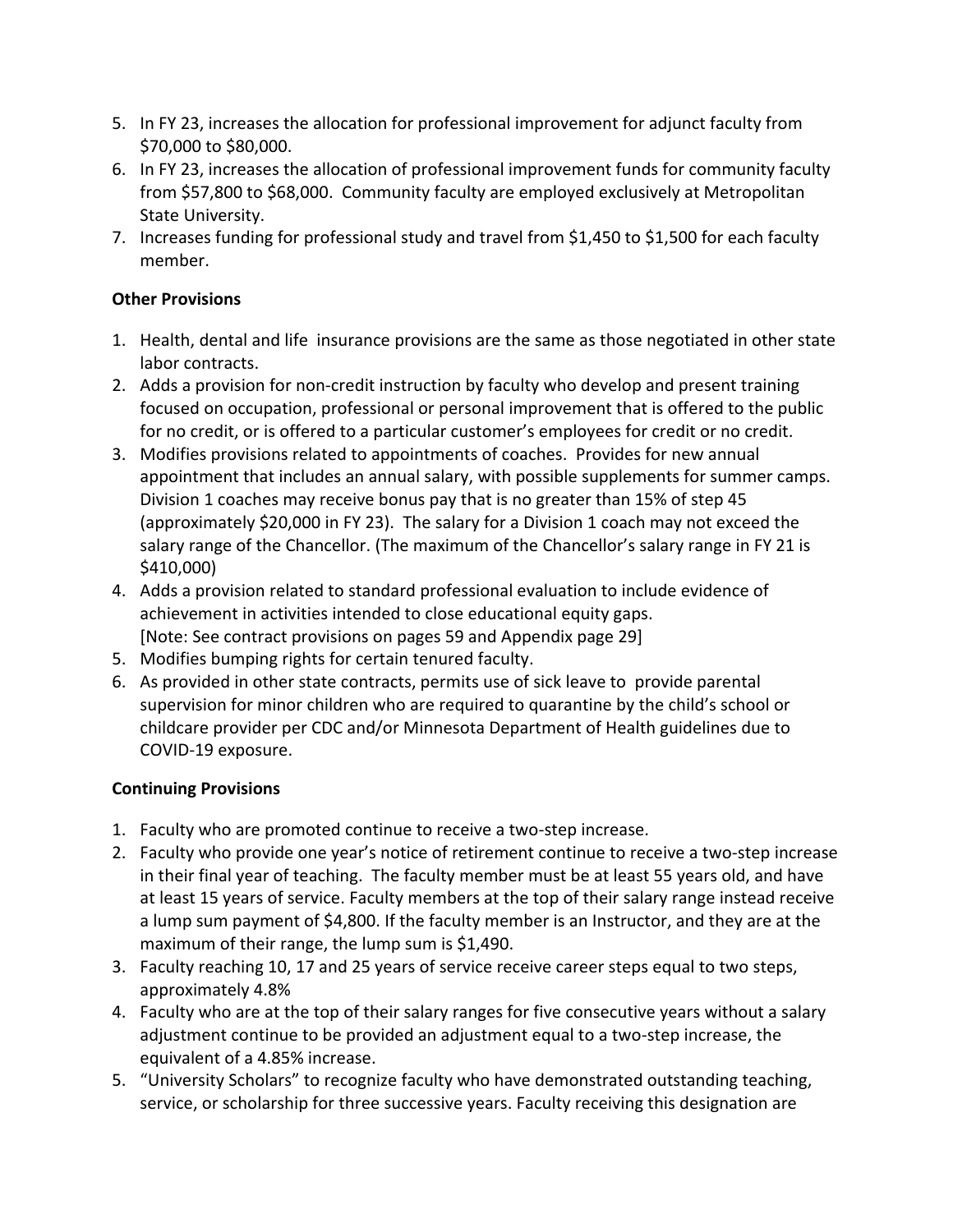- 5. In FY 23, increases the allocation for professional improvement for adjunct faculty from \$70,000 to \$80,000.
- 6. In FY 23, increases the allocation of professional improvement funds for community faculty from \$57,800 to \$68,000. Community faculty are employed exclusively at Metropolitan State University.
- 7. Increases funding for professional study and travel from \$1,450 to \$1,500 for each faculty member.

#### **Other Provisions**

- 1. Health, dental and life insurance provisions are the same as those negotiated in other state labor contracts.
- 2. Adds a provision for non-credit instruction by faculty who develop and present training focused on occupation, professional or personal improvement that is offered to the public for no credit, or is offered to a particular customer's employees for credit or no credit.
- 3. Modifies provisions related to appointments of coaches. Provides for new annual appointment that includes an annual salary, with possible supplements for summer camps. Division 1 coaches may receive bonus pay that is no greater than 15% of step 45 (approximately \$20,000 in FY 23). The salary for a Division 1 coach may not exceed the salary range of the Chancellor. (The maximum of the Chancellor's salary range in FY 21 is \$410,000)
- 4. Adds a provision related to standard professional evaluation to include evidence of achievement in activities intended to close educational equity gaps. [Note: See contract provisions on pages 59 and Appendix page 29]
- 5. Modifies bumping rights for certain tenured faculty.
- 6. As provided in other state contracts, permits use of sick leave to provide parental supervision for minor children who are required to quarantine by the child's school or childcare provider per CDC and/or Minnesota Department of Health guidelines due to COVID-19 exposure.

#### **Continuing Provisions**

- 1. Faculty who are promoted continue to receive a two-step increase.
- 2. Faculty who provide one year's notice of retirement continue to receive a two-step increase in their final year of teaching. The faculty member must be at least 55 years old, and have at least 15 years of service. Faculty members at the top of their salary range instead receive a lump sum payment of \$4,800. If the faculty member is an Instructor, and they are at the maximum of their range, the lump sum is \$1,490.
- 3. Faculty reaching 10, 17 and 25 years of service receive career steps equal to two steps, approximately 4.8%
- 4. Faculty who are at the top of their salary ranges for five consecutive years without a salary adjustment continue to be provided an adjustment equal to a two-step increase, the equivalent of a 4.85% increase.
- 5. "University Scholars" to recognize faculty who have demonstrated outstanding teaching, service, or scholarship for three successive years. Faculty receiving this designation are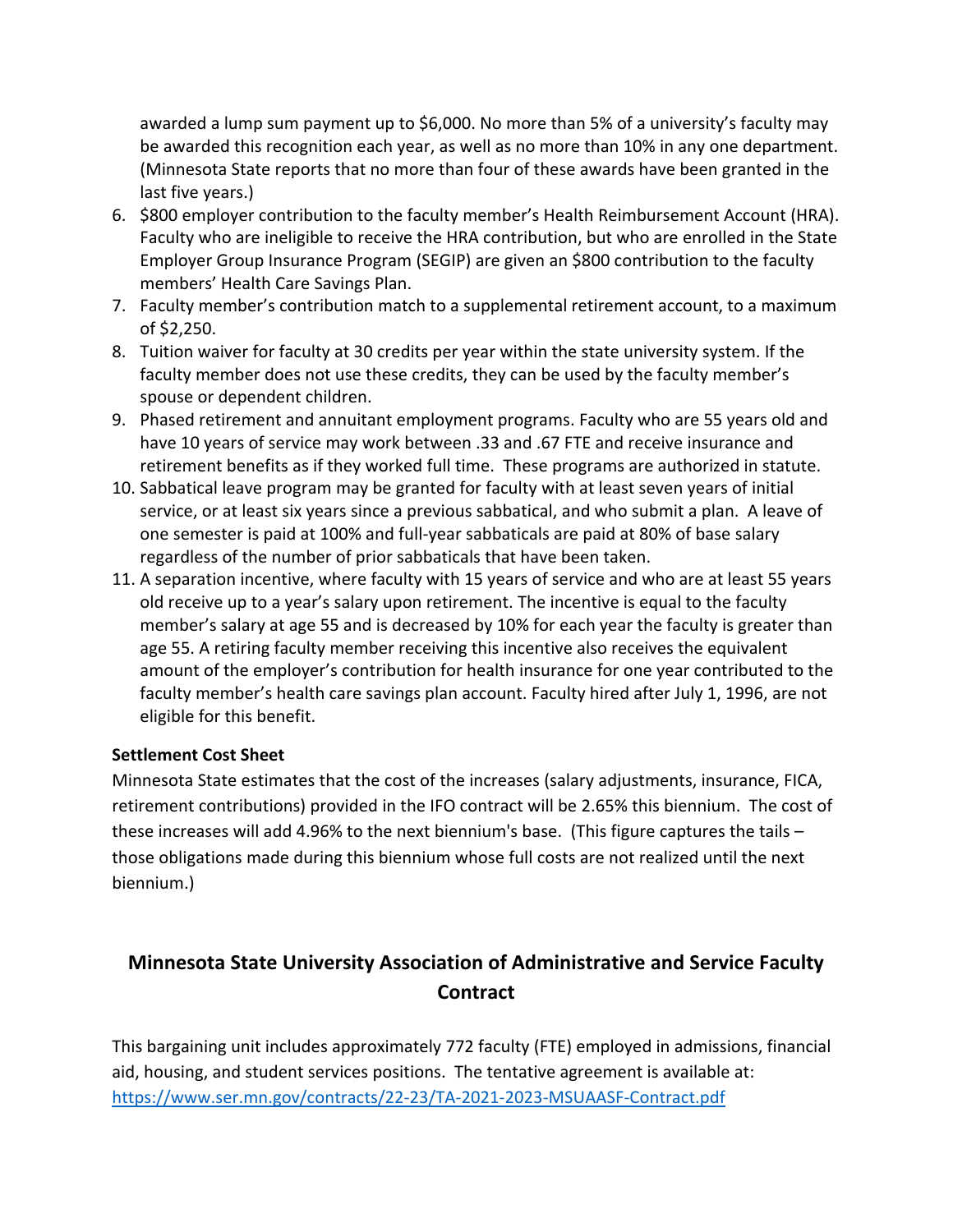awarded a lump sum payment up to \$6,000. No more than 5% of a university's faculty may be awarded this recognition each year, as well as no more than 10% in any one department. (Minnesota State reports that no more than four of these awards have been granted in the last five years.)

- 6. \$800 employer contribution to the faculty member's Health Reimbursement Account (HRA). Faculty who are ineligible to receive the HRA contribution, but who are enrolled in the State Employer Group Insurance Program (SEGIP) are given an \$800 contribution to the faculty members' Health Care Savings Plan.
- 7. Faculty member's contribution match to a supplemental retirement account, to a maximum of \$2,250.
- 8. Tuition waiver for faculty at 30 credits per year within the state university system. If the faculty member does not use these credits, they can be used by the faculty member's spouse or dependent children.
- 9. Phased retirement and annuitant employment programs. Faculty who are 55 years old and have 10 years of service may work between .33 and .67 FTE and receive insurance and retirement benefits as if they worked full time. These programs are authorized in statute.
- 10. Sabbatical leave program may be granted for faculty with at least seven years of initial service, or at least six years since a previous sabbatical, and who submit a plan. A leave of one semester is paid at 100% and full-year sabbaticals are paid at 80% of base salary regardless of the number of prior sabbaticals that have been taken.
- 11. A separation incentive, where faculty with 15 years of service and who are at least 55 years old receive up to a year's salary upon retirement. The incentive is equal to the faculty member's salary at age 55 and is decreased by 10% for each year the faculty is greater than age 55. A retiring faculty member receiving this incentive also receives the equivalent amount of the employer's contribution for health insurance for one year contributed to the faculty member's health care savings plan account. Faculty hired after July 1, 1996, are not eligible for this benefit.

#### **Settlement Cost Sheet**

Minnesota State estimates that the cost of the increases (salary adjustments, insurance, FICA, retirement contributions) provided in the IFO contract will be 2.65% this biennium. The cost of these increases will add 4.96% to the next biennium's base. (This figure captures the tails – those obligations made during this biennium whose full costs are not realized until the next biennium.)

# **Minnesota State University Association of Administrative and Service Faculty Contract**

This bargaining unit includes approximately 772 faculty (FTE) employed in admissions, financial aid, housing, and student services positions. The tentative agreement is available at: <https://www.ser.mn.gov/contracts/22-23/TA-2021-2023-MSUAASF-Contract.pdf>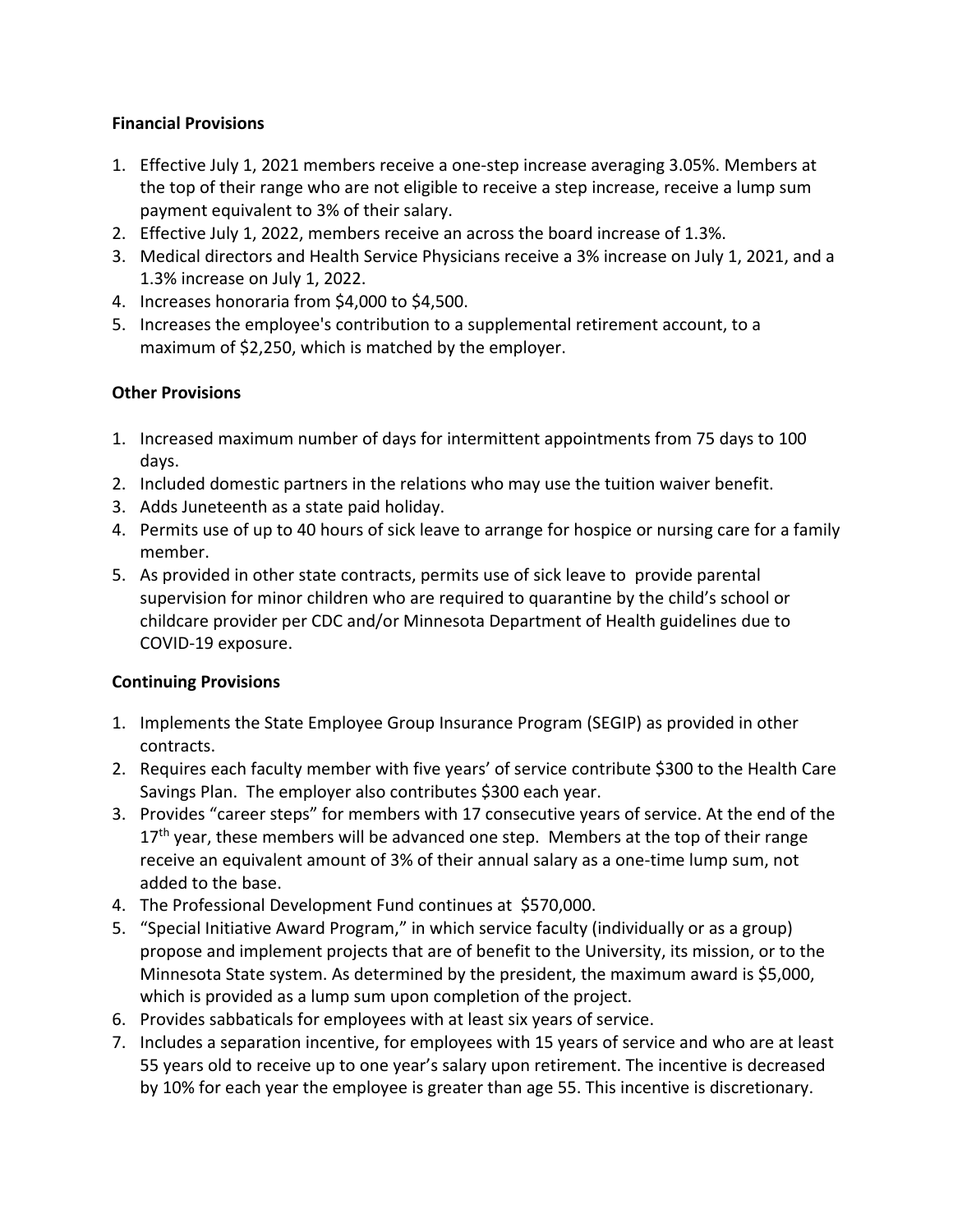#### **Financial Provisions**

- 1. Effective July 1, 2021 members receive a one-step increase averaging 3.05%. Members at the top of their range who are not eligible to receive a step increase, receive a lump sum payment equivalent to 3% of their salary.
- 2. Effective July 1, 2022, members receive an across the board increase of 1.3%.
- 3. Medical directors and Health Service Physicians receive a 3% increase on July 1, 2021, and a 1.3% increase on July 1, 2022.
- 4. Increases honoraria from \$4,000 to \$4,500.
- 5. Increases the employee's contribution to a supplemental retirement account, to a maximum of \$2,250, which is matched by the employer.

### **Other Provisions**

- 1. Increased maximum number of days for intermittent appointments from 75 days to 100 days.
- 2. Included domestic partners in the relations who may use the tuition waiver benefit.
- 3. Adds Juneteenth as a state paid holiday.
- 4. Permits use of up to 40 hours of sick leave to arrange for hospice or nursing care for a family member.
- 5. As provided in other state contracts, permits use of sick leave to provide parental supervision for minor children who are required to quarantine by the child's school or childcare provider per CDC and/or Minnesota Department of Health guidelines due to COVID-19 exposure.

## **Continuing Provisions**

- 1. Implements the State Employee Group Insurance Program (SEGIP) as provided in other contracts.
- 2. Requires each faculty member with five years' of service contribute \$300 to the Health Care Savings Plan. The employer also contributes \$300 each year.
- 3. Provides "career steps" for members with 17 consecutive years of service. At the end of the  $17<sup>th</sup>$  year, these members will be advanced one step. Members at the top of their range receive an equivalent amount of 3% of their annual salary as a one-time lump sum, not added to the base.
- 4. The Professional Development Fund continues at \$570,000.
- 5. "Special Initiative Award Program," in which service faculty (individually or as a group) propose and implement projects that are of benefit to the University, its mission, or to the Minnesota State system. As determined by the president, the maximum award is \$5,000, which is provided as a lump sum upon completion of the project.
- 6. Provides sabbaticals for employees with at least six years of service.
- 7. Includes a separation incentive, for employees with 15 years of service and who are at least 55 years old to receive up to one year's salary upon retirement. The incentive is decreased by 10% for each year the employee is greater than age 55. This incentive is discretionary.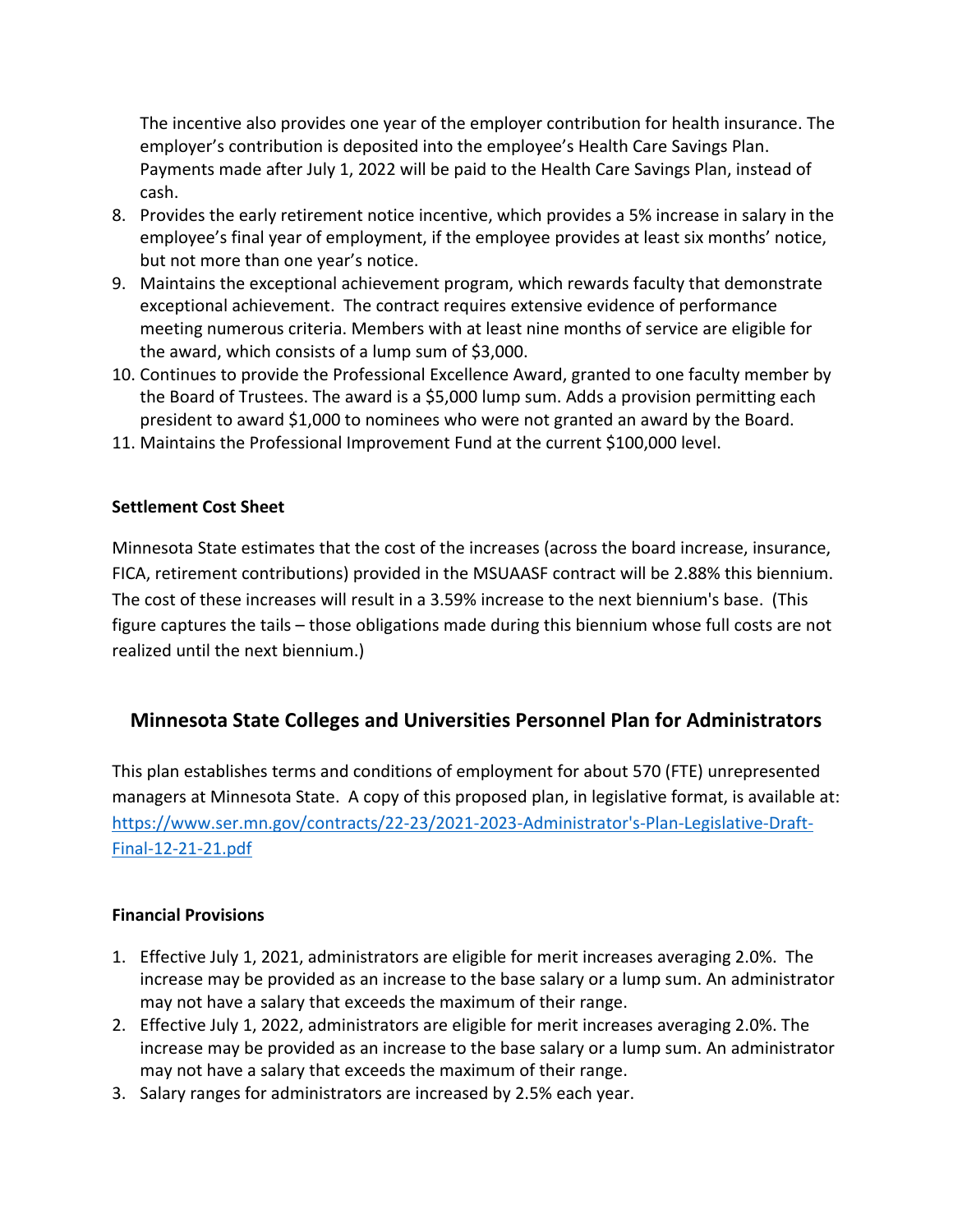The incentive also provides one year of the employer contribution for health insurance. The employer's contribution is deposited into the employee's Health Care Savings Plan. Payments made after July 1, 2022 will be paid to the Health Care Savings Plan, instead of cash.

- 8. Provides the early retirement notice incentive, which provides a 5% increase in salary in the employee's final year of employment, if the employee provides at least six months' notice, but not more than one year's notice.
- 9. Maintains the exceptional achievement program, which rewards faculty that demonstrate exceptional achievement. The contract requires extensive evidence of performance meeting numerous criteria. Members with at least nine months of service are eligible for the award, which consists of a lump sum of \$3,000.
- 10. Continues to provide the Professional Excellence Award, granted to one faculty member by the Board of Trustees. The award is a \$5,000 lump sum. Adds a provision permitting each president to award \$1,000 to nominees who were not granted an award by the Board.
- 11. Maintains the Professional Improvement Fund at the current \$100,000 level.

#### **Settlement Cost Sheet**

Minnesota State estimates that the cost of the increases (across the board increase, insurance, FICA, retirement contributions) provided in the MSUAASF contract will be 2.88% this biennium. The cost of these increases will result in a 3.59% increase to the next biennium's base. (This figure captures the tails – those obligations made during this biennium whose full costs are not realized until the next biennium.)

## **Minnesota State Colleges and Universities Personnel Plan for Administrators**

This plan establishes terms and conditions of employment for about 570 (FTE) unrepresented managers at Minnesota State. A copy of this proposed plan, in legislative format, is available at: [https://www.ser.mn.gov/contracts/22-23/2021-2023-Administrator's-Plan-Legislative-Draft-](https://www.ser.mn.gov/contracts/22-23/2021-2023-Administrator)[Final-12-21-21.pdf](https://www.ser.mn.gov/contracts/22-23/2021-2023-Administrator) 

#### **Financial Provisions**

- 1. Effective July 1, 2021, administrators are eligible for merit increases averaging 2.0%. The increase may be provided as an increase to the base salary or a lump sum. An administrator may not have a salary that exceeds the maximum of their range.
- 2. Effective July 1, 2022, administrators are eligible for merit increases averaging 2.0%. The increase may be provided as an increase to the base salary or a lump sum. An administrator may not have a salary that exceeds the maximum of their range.
- 3. Salary ranges for administrators are increased by 2.5% each year.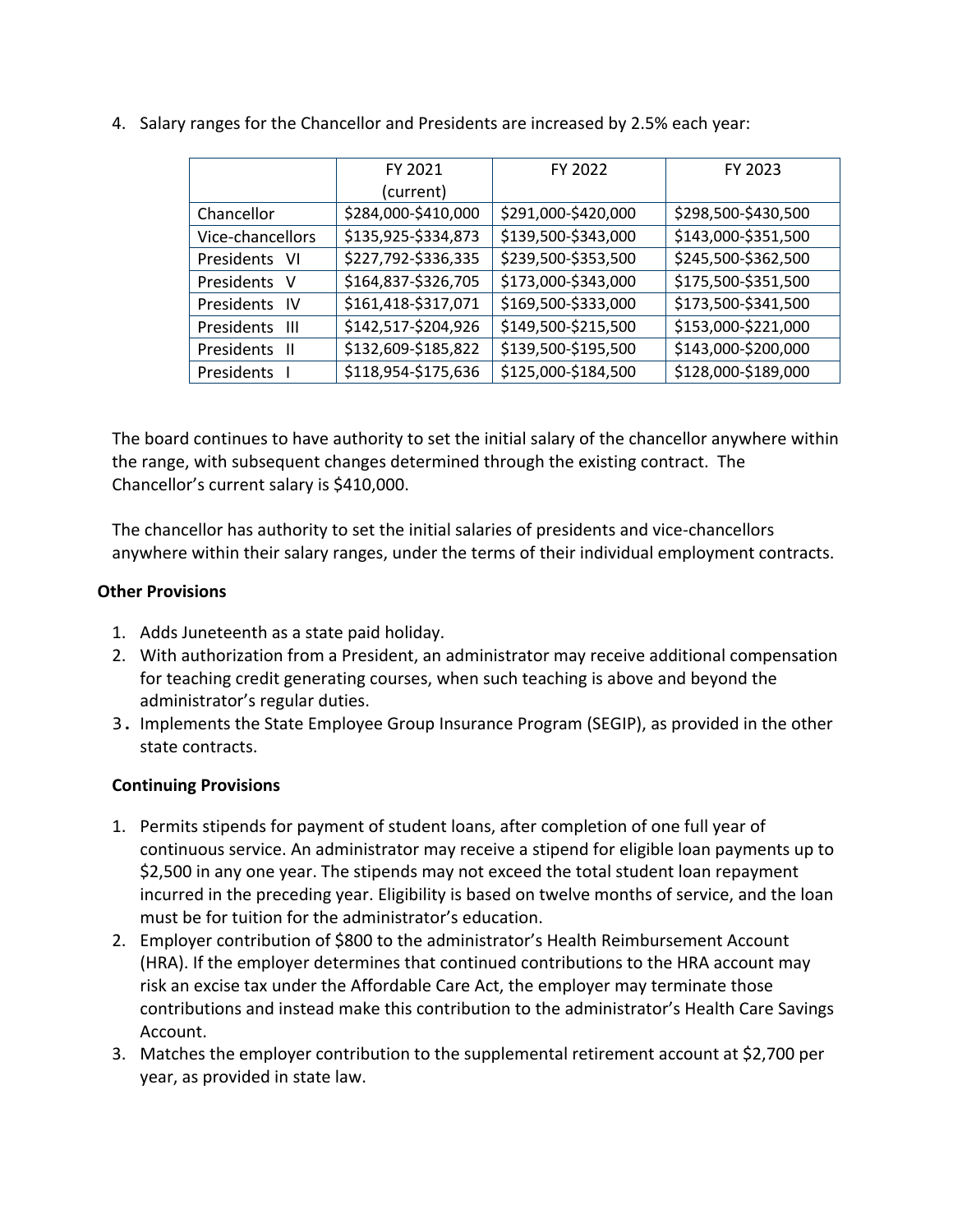|                    | FY 2021             | FY 2022             | FY 2023             |  |  |  |  |
|--------------------|---------------------|---------------------|---------------------|--|--|--|--|
|                    | (current)           |                     |                     |  |  |  |  |
| Chancellor         | \$284,000-\$410,000 | \$291,000-\$420,000 | \$298,500-\$430,500 |  |  |  |  |
| Vice-chancellors   | \$135,925-\$334,873 | \$139,500-\$343,000 | \$143,000-\$351,500 |  |  |  |  |
| Presidents<br>- VI | \$227,792-\$336,335 | \$239,500-\$353,500 | \$245,500-\$362,500 |  |  |  |  |
| Presidents V       | \$164,837-\$326,705 | \$173,000-\$343,000 | \$175,500-\$351,500 |  |  |  |  |
| Presidents<br>- IV | \$161,418-\$317,071 | \$169,500-\$333,000 | \$173,500-\$341,500 |  |  |  |  |
| Ш<br>Presidents    | \$142,517-\$204,926 | \$149,500-\$215,500 | \$153,000-\$221,000 |  |  |  |  |
| Presidents<br>- 11 | \$132,609-\$185,822 | \$139,500-\$195,500 | \$143,000-\$200,000 |  |  |  |  |
| Presidents         | \$118,954-\$175,636 | \$125,000-\$184,500 | \$128,000-\$189,000 |  |  |  |  |

4. Salary ranges for the Chancellor and Presidents are increased by 2.5% each year:

The board continues to have authority to set the initial salary of the chancellor anywhere within the range, with subsequent changes determined through the existing contract. The Chancellor's current salary is \$410,000.

The chancellor has authority to set the initial salaries of presidents and vice-chancellors anywhere within their salary ranges, under the terms of their individual employment contracts.

#### **Other Provisions**

- 1. Adds Juneteenth as a state paid holiday.
- 2. With authorization from a President, an administrator may receive additional compensation for teaching credit generating courses, when such teaching is above and beyond the administrator's regular duties.
- 3. Implements the State Employee Group Insurance Program (SEGIP), as provided in the other state contracts.

#### **Continuing Provisions**

- 1. Permits stipends for payment of student loans, after completion of one full year of continuous service. An administrator may receive a stipend for eligible loan payments up to \$2,500 in any one year. The stipends may not exceed the total student loan repayment incurred in the preceding year. Eligibility is based on twelve months of service, and the loan must be for tuition for the administrator's education.
- 2. Employer contribution of \$800 to the administrator's Health Reimbursement Account (HRA). If the employer determines that continued contributions to the HRA account may risk an excise tax under the Affordable Care Act, the employer may terminate those contributions and instead make this contribution to the administrator's Health Care Savings Account.
- 3. Matches the employer contribution to the supplemental retirement account at \$2,700 per year, as provided in state law.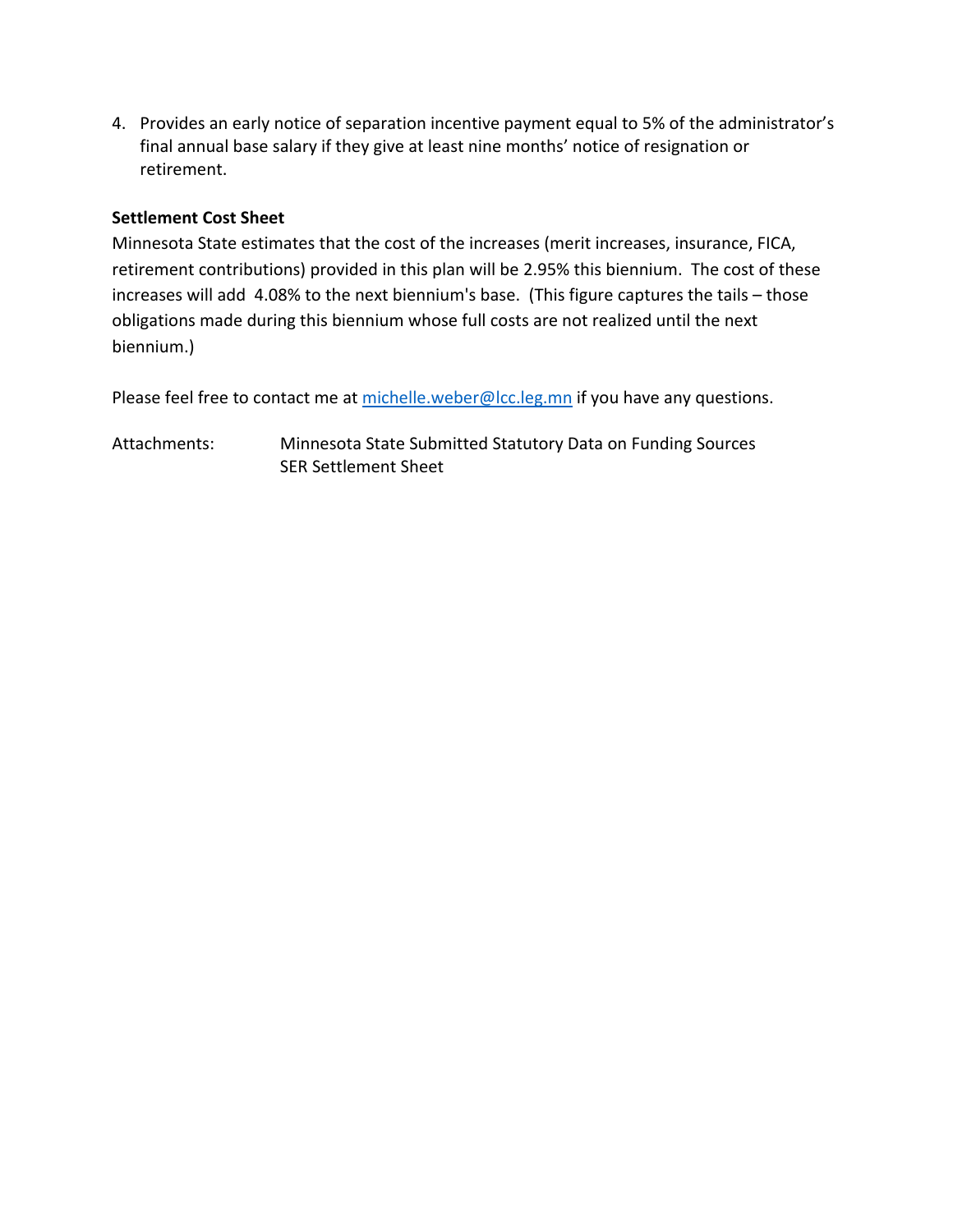4. Provides an early notice of separation incentive payment equal to 5% of the administrator's final annual base salary if they give at least nine months' notice of resignation or retirement.

#### **Settlement Cost Sheet**

Minnesota State estimates that the cost of the increases (merit increases, insurance, FICA, retirement contributions) provided in this plan will be 2.95% this biennium. The cost of these increases will add 4.08% to the next biennium's base. (This figure captures the tails – those obligations made during this biennium whose full costs are not realized until the next biennium.)

Please feel free to contact me a[t michelle.weber@lcc.leg.mn](mailto:michelle.weber@lcc.leg.mn) if you have any questions.

Attachments: Minnesota State Submitted Statutory Data on Funding Sources SER Settlement Sheet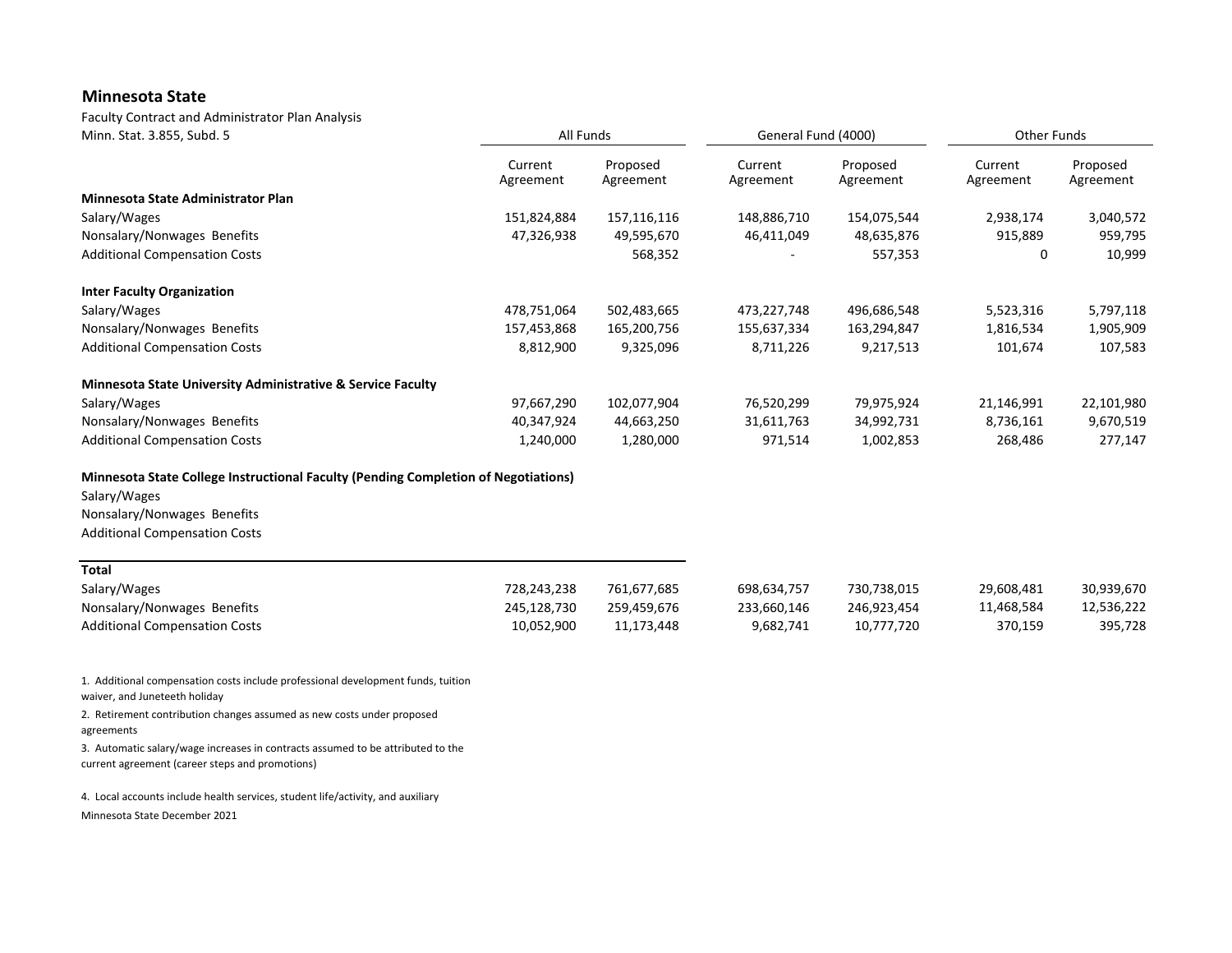#### **Minnesota State**

Faculty Contract and Administrator Plan Analysis

| Minn. Stat. 3.855, Subd. 5                                                         | All Funds            |                       | General Fund (4000)  |                       | Other Funds          |                       |  |
|------------------------------------------------------------------------------------|----------------------|-----------------------|----------------------|-----------------------|----------------------|-----------------------|--|
|                                                                                    | Current<br>Agreement | Proposed<br>Agreement | Current<br>Agreement | Proposed<br>Agreement | Current<br>Agreement | Proposed<br>Agreement |  |
| <b>Minnesota State Administrator Plan</b>                                          |                      |                       |                      |                       |                      |                       |  |
| Salary/Wages                                                                       | 151,824,884          | 157,116,116           | 148,886,710          | 154,075,544           | 2,938,174            | 3,040,572             |  |
| Nonsalary/Nonwages Benefits                                                        | 47,326,938           | 49,595,670            | 46,411,049           | 48,635,876            | 915,889              | 959,795               |  |
| <b>Additional Compensation Costs</b>                                               |                      | 568,352               |                      | 557,353               | 0                    | 10,999                |  |
| <b>Inter Faculty Organization</b>                                                  |                      |                       |                      |                       |                      |                       |  |
| Salary/Wages                                                                       | 478,751,064          | 502,483,665           | 473,227,748          | 496,686,548           | 5,523,316            | 5,797,118             |  |
| Nonsalary/Nonwages Benefits                                                        | 157,453,868          | 165,200,756           | 155,637,334          | 163,294,847           | 1,816,534            | 1,905,909             |  |
| <b>Additional Compensation Costs</b>                                               | 8,812,900            | 9,325,096             | 8,711,226            | 9,217,513             | 101,674              | 107,583               |  |
| Minnesota State University Administrative & Service Faculty                        |                      |                       |                      |                       |                      |                       |  |
| Salary/Wages                                                                       | 97,667,290           | 102,077,904           | 76,520,299           | 79,975,924            | 21,146,991           | 22,101,980            |  |
| Nonsalary/Nonwages Benefits                                                        | 40,347,924           | 44,663,250            | 31,611,763           | 34,992,731            | 8,736,161            | 9,670,519             |  |
| <b>Additional Compensation Costs</b>                                               | 1,240,000            | 1,280,000             | 971,514              | 1,002,853             | 268,486              | 277,147               |  |
| Minnesota State College Instructional Faculty (Pending Completion of Negotiations) |                      |                       |                      |                       |                      |                       |  |
| Salary/Wages                                                                       |                      |                       |                      |                       |                      |                       |  |
| Nonsalary/Nonwages Benefits                                                        |                      |                       |                      |                       |                      |                       |  |
| <b>Additional Compensation Costs</b>                                               |                      |                       |                      |                       |                      |                       |  |
| <b>Total</b>                                                                       |                      |                       |                      |                       |                      |                       |  |
| Salary/Wages                                                                       | 728,243,238          | 761,677,685           | 698,634,757          | 730,738,015           | 29,608,481           | 30,939,670            |  |
| Nonsalary/Nonwages Benefits                                                        | 245,128,730          | 259,459,676           | 233,660,146          | 246,923,454           | 11,468,584           | 12,536,222            |  |
| <b>Additional Compensation Costs</b>                                               | 10.052.900           | 11,173,448            | 9,682,741            | 10.777.720            | 370,159              | 395,728               |  |

1. Additional compensation costs include professional development funds, tuition waiver, and Juneteeth holiday

2. Retirement contribution changes assumed as new costs under proposed agreements

3. Automatic salary/wage increases in contracts assumed to be attributed to the current agreement (career steps and promotions)

4. Local accounts include health services, student life/activity, and auxiliary

Minnesota State December 2021